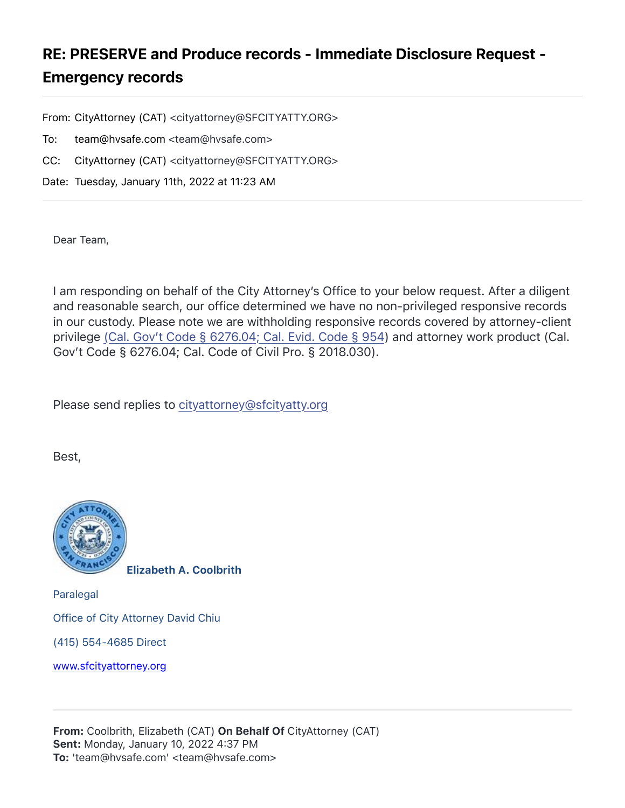## RE: PRESERVE and Produce records - Immediate Disclosure Request - Emergency records

From: CityAttorney (CAT) <cityattorney@SFCITYATTY.ORG>

- To: team@hvsafe.com <team@hvsafe.com>
- CC: CityAttorney (CAT) <cityattorney@SFCITYATTY.ORG>

Date: Tuesday, January 11th, 2022 at 11:23 AM

Dear Team,

I am responding on behalf of the City Attorney's Office to your below request. After a diligent and reasonable search, our office determined we have no non-privileged responsive records in our custody. Please note we are withholding responsive records covered by attorney-client privilege (Cal. Gov't Code § 6276.04; Cal. Evid. Code § 954) and attorney work product (Cal. Gov't Code § 6276.04; Cal. Code of Civil Pro. § 2018.030).

Please send replies to [cityattorney@sfcityatty.org](mailto:cityattorney@sfcityatty.org)

Best,



Elizabeth A. Coolbrith

Paralegal Office of City Attorney David Chiu (415) 554-4685 Direct

[www.sfcityattorney.org](http://www.sfcityattorney.org/)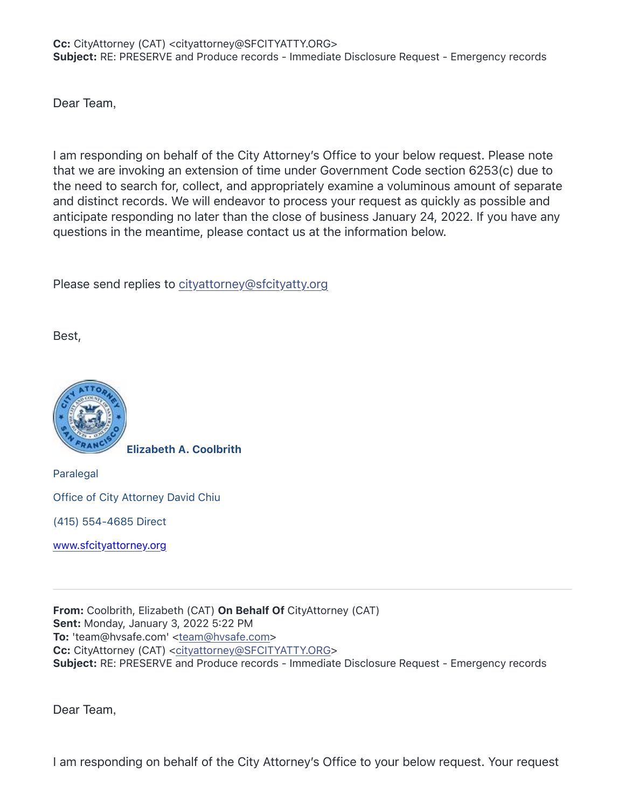Dear Team,

I am responding on behalf of the City Attorney's Office to your below request. Please note that we are invoking an extension of time under Government Code section 6253(c) due to the need to search for, collect, and appropriately examine a voluminous amount of separate and distinct records. We will endeavor to process your request as quickly as possible and anticipate responding no later than the close of business January 24, 2022. If you have any questions in the meantime, please contact us at the information below.

Please send replies to [cityattorney@sfcityatty.org](mailto:cityattorney@sfcityatty.org)

Best,



Elizabeth A. Coolbrith

Paralegal Office of City Attorney David Chiu

(415) 554-4685 Direct

[www.sfcityattorney.org](http://www.sfcityattorney.org/)

From: Coolbrith, Elizabeth (CAT) On Behalf Of CityAttorney (CAT) Sent: Monday, January 3, 2022 5:22 PM To: 'team@hvsafe.com' [<team@hvsafe.com](mailto:team@hvsafe.com)> Cc: CityAttorney (CAT) [<cityattorney@SFCITYATTY.ORG](mailto:cityattorney@SFCITYATTY.ORG)> Subject: RE: PRESERVE and Produce records - Immediate Disclosure Request - Emergency records

Dear Team,

I am responding on behalf of the City Attorney's Office to your below request. Your request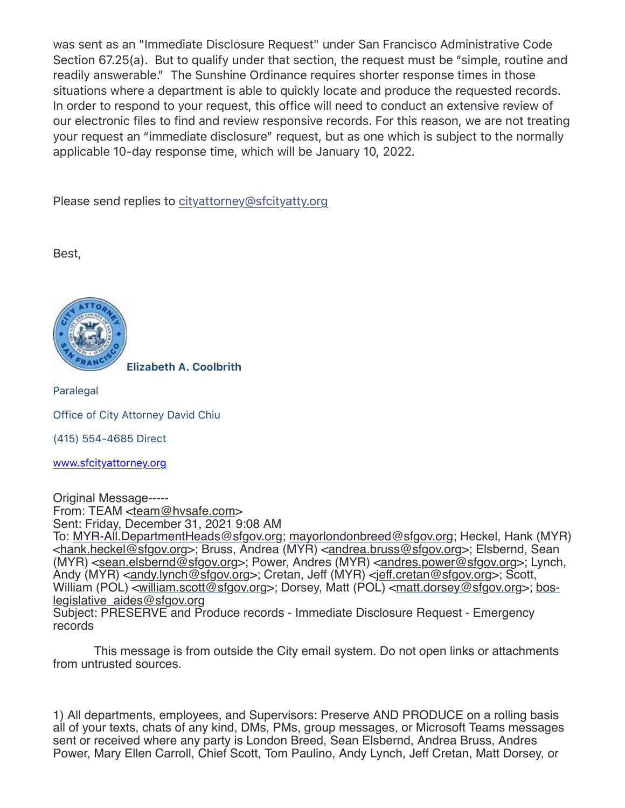was sent as an "Immediate Disclosure Request" under San Francisco Administrative Code Section 67.25(a). But to qualify under that section, the request must be "simple, routine and readily answerable." The Sunshine Ordinance requires shorter response times in those situations where a department is able to quickly locate and produce the requested records. In order to respond to your request, this office will need to conduct an extensive review of our electronic files to find and review responsive records. For this reason, we are not treating your request an "immediate disclosure" request, but as one which is subject to the normally applicable 10-day response time, which will be January 10, 2022.

Please send replies to [cityattorney@sfcityatty.org](mailto:cityattorney@sfcityatty.org)

Best,



Elizabeth A. Coolbrith

Paralegal

Office of City Attorney David Chiu

(415) 554-4685 Direct

[www.sfcityattorney.org](http://www.sfcityattorney.org/)

Original Message----- From: TEAM [<team@hvsafe.com>](mailto:team@hvsafe.com) Sent: Friday, December 31, 2021 9:08 AM To: [MYR-All.DepartmentHeads@sfgov.org;](mailto:MYR-All.DepartmentHeads@sfgov.org) [mayorlondonbreed@sfgov.org](mailto:mayorlondonbreed@sfgov.org); Heckel, Hank (MYR) [<hank.heckel@sfgov.org>](mailto:hank.heckel@sfgov.org); Bruss, Andrea (MYR) <[andrea.bruss@sfgov.org>](mailto:andrea.bruss@sfgov.org); Elsbernd, Sean (MYR) [<sean.elsbernd@sfgov.org](mailto:sean.elsbernd@sfgov.org)>; Power, Andres (MYR) [<andres.power@sfgov.org>](mailto:andres.power@sfgov.org); Lynch, Andy (MYR) <[andy.lynch@sfgov.org>](mailto:andy.lynch@sfgov.org); Cretan, Jeff (MYR) <ieff.cretan@sfgov.org>; Scott, William (POL) [<william.scott@sfgov.org>](mailto:william.scott@sfgov.org); Dorsey, Matt (POL) [<matt.dorsey@sfgov.org>](mailto:matt.dorsey@sfgov.org); [bos](mailto:bos-legislative_aides@sfgov.org)[legislative\\_aides@sfgov.org](mailto:bos-legislative_aides@sfgov.org) Subject: PRESERVE and Produce records - Immediate Disclosure Request - Emergency records

 This message is from outside the City email system. Do not open links or attachments from untrusted sources.

1) All departments, employees, and Supervisors: Preserve AND PRODUCE on a rolling basis all of your texts, chats of any kind, DMs, PMs, group messages, or Microsoft Teams messages sent or received where any party is London Breed, Sean Elsbernd, Andrea Bruss, Andres Power, Mary Ellen Carroll, Chief Scott, Tom Paulino, Andy Lynch, Jeff Cretan, Matt Dorsey, or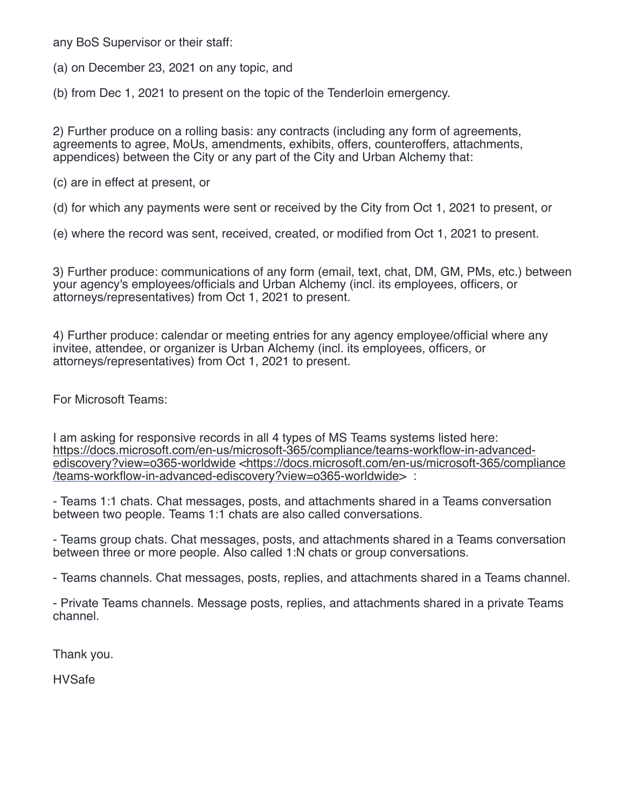any BoS Supervisor or their staff:

(a) on December 23, 2021 on any topic, and

(b) from Dec 1, 2021 to present on the topic of the Tenderloin emergency.

2) Further produce on a rolling basis: any contracts (including any form of agreements, agreements to agree, MoUs, amendments, exhibits, offers, counteroffers, attachments, appendices) between the City or any part of the City and Urban Alchemy that:

(c) are in effect at present, or

(d) for which any payments were sent or received by the City from Oct 1, 2021 to present, or

(e) where the record was sent, received, created, or modified from Oct 1, 2021 to present.

3) Further produce: communications of any form (email, text, chat, DM, GM, PMs, etc.) between your agency's employees/officials and Urban Alchemy (incl. its employees, officers, or attorneys/representatives) from Oct 1, 2021 to present.

4) Further produce: calendar or meeting entries for any agency employee/official where any invitee, attendee, or organizer is Urban Alchemy (incl. its employees, officers, or attorneys/representatives) from Oct 1, 2021 to present.

For Microsoft Teams:

I am asking for responsive records in all 4 types of MS Teams systems listed here: [https://docs.microsoft.com/en-us/microsoft-365/compliance/teams-workflow-in-advanced](https://docs.microsoft.com/en-us/microsoft-365/compliance/teams-workflow-in-advanced-ediscovery?view=o365-worldwide)[ediscovery?view=o365-worldwide](https://docs.microsoft.com/en-us/microsoft-365/compliance/teams-workflow-in-advanced-ediscovery?view=o365-worldwide) [<https://docs.microsoft.com/en-us/microsoft-365/compliance](https://docs.microsoft.com/en-us/microsoft-365/compliance/teams-workflow-in-advanced-ediscovery?view=o365-worldwide) [/teams-workflow-in-advanced-ediscovery?view=o365-worldwide](https://docs.microsoft.com/en-us/microsoft-365/compliance/teams-workflow-in-advanced-ediscovery?view=o365-worldwide)> :

- Teams 1:1 chats. Chat messages, posts, and attachments shared in a Teams conversation between two people. Teams 1:1 chats are also called conversations.

- Teams group chats. Chat messages, posts, and attachments shared in a Teams conversation between three or more people. Also called 1:N chats or group conversations.

- Teams channels. Chat messages, posts, replies, and attachments shared in a Teams channel.

- Private Teams channels. Message posts, replies, and attachments shared in a private Teams channel.

Thank you.

HVSafe